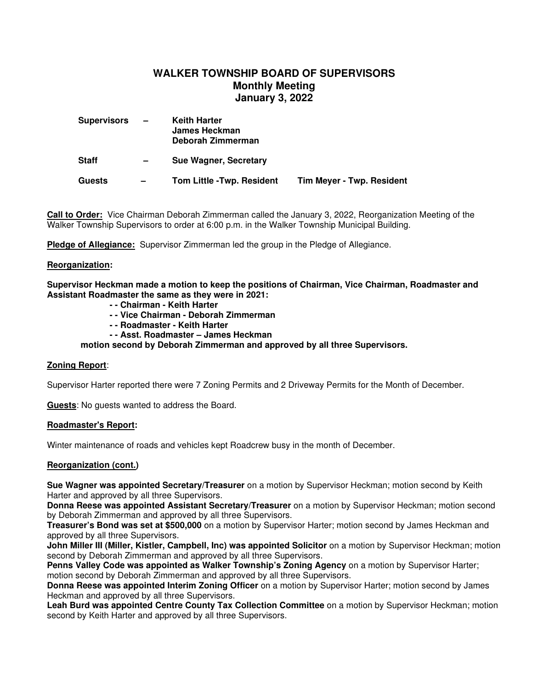# **WALKER TOWNSHIP BOARD OF SUPERVISORS Monthly Meeting January 3, 2022**

| <b>Supervisors</b> | $\qquad \qquad -$        | <b>Keith Harter</b><br>James Heckman<br>Deborah Zimmerman |                                  |
|--------------------|--------------------------|-----------------------------------------------------------|----------------------------------|
| <b>Staff</b>       | $\qquad \qquad$          | Sue Wagner, Secretary                                     |                                  |
| <b>Guests</b>      | $\overline{\phantom{0}}$ | <b>Tom Little -Twp. Resident</b>                          | <b>Tim Meyer - Twp. Resident</b> |

**Call to Order:** Vice Chairman Deborah Zimmerman called the January 3, 2022, Reorganization Meeting of the Walker Township Supervisors to order at 6:00 p.m. in the Walker Township Municipal Building.

**Pledge of Allegiance:** Supervisor Zimmerman led the group in the Pledge of Allegiance.

#### **Reorganization:**

**Supervisor Heckman made a motion to keep the positions of Chairman, Vice Chairman, Roadmaster and Assistant Roadmaster the same as they were in 2021:**

- **- Chairman Keith Harter**
- **- Vice Chairman Deborah Zimmerman**
- **- Roadmaster Keith Harter**
- **- Asst. Roadmaster James Heckman**

 **motion second by Deborah Zimmerman and approved by all three Supervisors.**

## **Zoning Report**:

Supervisor Harter reported there were 7 Zoning Permits and 2 Driveway Permits for the Month of December.

**Guests**: No guests wanted to address the Board.

#### **Roadmaster's Report:**

Winter maintenance of roads and vehicles kept Roadcrew busy in the month of December.

## **Reorganization (cont.)**

**Sue Wagner was appointed Secretary/Treasurer** on a motion by Supervisor Heckman; motion second by Keith Harter and approved by all three Supervisors.

**Donna Reese was appointed Assistant Secretary/Treasurer** on a motion by Supervisor Heckman; motion second by Deborah Zimmerman and approved by all three Supervisors.

**Treasurer's Bond was set at \$500,000** on a motion by Supervisor Harter; motion second by James Heckman and approved by all three Supervisors.

**John Miller III (Miller, Kistler, Campbell, Inc) was appointed Solicitor** on a motion by Supervisor Heckman; motion second by Deborah Zimmerman and approved by all three Supervisors.

**Penns Valley Code was appointed as Walker Township's Zoning Agency** on a motion by Supervisor Harter; motion second by Deborah Zimmerman and approved by all three Supervisors.

**Donna Reese was appointed Interim Zoning Officer** on a motion by Supervisor Harter; motion second by James Heckman and approved by all three Supervisors.

**Leah Burd was appointed Centre County Tax Collection Committee** on a motion by Supervisor Heckman; motion second by Keith Harter and approved by all three Supervisors.